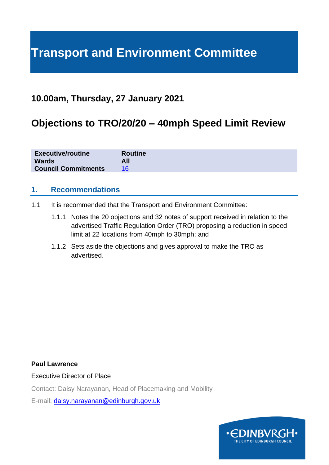# **Transport and Environment Committee**

## **10.00am, Thursday, 27 January 2021**

## **Objections to TRO/20/20 – 40mph Speed Limit Review**

| <b>Executive/routine</b>   | <b>Routine</b> |
|----------------------------|----------------|
| <b>Wards</b>               | All            |
| <b>Council Commitments</b> |                |

## **1. Recommendations**

- 1.1 It is recommended that the Transport and Environment Committee:
	- 1.1.1 Notes the 20 objections and 32 notes of support received in relation to the advertised Traffic Regulation Order (TRO) proposing a reduction in speed limit at 22 locations from 40mph to 30mph; and
	- 1.1.2 Sets aside the objections and gives approval to make the TRO as advertised.

#### **Paul Lawrence**

Executive Director of Place

Contact: Daisy Narayanan, Head of Placemaking and Mobility

E-mail: [daisy.narayanan@edinburgh.gov.uk](mailto:daisy.narayanan@edinburgh.gov.uk)

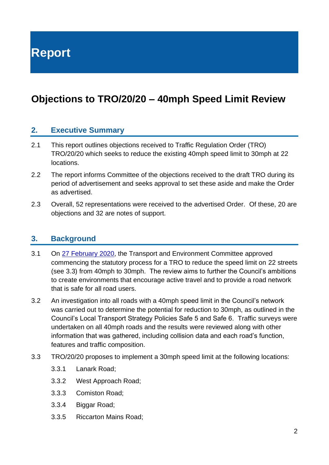**Report**

## **Objections to TRO/20/20 – 40mph Speed Limit Review**

## **2. Executive Summary**

- 2.1 This report outlines objections received to Traffic Regulation Order (TRO) TRO/20/20 which seeks to reduce the existing 40mph speed limit to 30mph at 22 locations.
- 2.2 The report informs Committee of the objections received to the draft TRO during its period of advertisement and seeks approval to set these aside and make the Order as advertised.
- 2.3 Overall, 52 representations were received to the advertised Order. Of these, 20 are objections and 32 are notes of support.

## **3. Background**

- 3.1 On [27 February 2020,](https://democracy.edinburgh.gov.uk/documents/s14508/Item%207.4%20-%2040mph%20Speed%20Limit%20Review.pdf) the Transport and Environment Committee approved commencing the statutory process for a TRO to reduce the speed limit on 22 streets (see 3.3) from 40mph to 30mph. The review aims to further the Council's ambitions to create environments that encourage active travel and to provide a road network that is safe for all road users.
- 3.2 An investigation into all roads with a 40mph speed limit in the Council's network was carried out to determine the potential for reduction to 30mph, as outlined in the Council's Local Transport Strategy Policies Safe 5 and Safe 6. Traffic surveys were undertaken on all 40mph roads and the results were reviewed along with other information that was gathered, including collision data and each road's function, features and traffic composition.
- 3.3 TRO/20/20 proposes to implement a 30mph speed limit at the following locations:
	- 3.3.1 Lanark Road;
	- 3.3.2 West Approach Road;
	- 3.3.3 Comiston Road;
	- 3.3.4 Biggar Road;
	- 3.3.5 Riccarton Mains Road;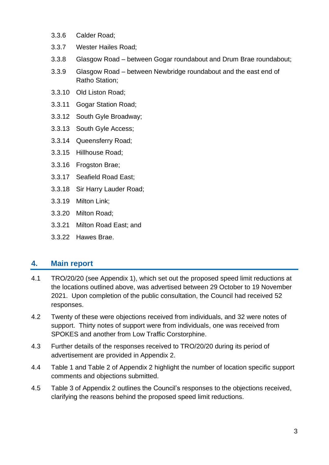- 3.3.6 Calder Road;
- 3.3.7 Wester Hailes Road;
- 3.3.8 Glasgow Road between Gogar roundabout and Drum Brae roundabout;
- 3.3.9 Glasgow Road between Newbridge roundabout and the east end of Ratho Station;
- 3.3.10 Old Liston Road;
- 3.3.11 Gogar Station Road;
- 3.3.12 South Gyle Broadway;
- 3.3.13 South Gyle Access;
- 3.3.14 Queensferry Road;
- 3.3.15 Hillhouse Road;
- 3.3.16 Frogston Brae;
- 3.3.17 Seafield Road East;
- 3.3.18 Sir Harry Lauder Road;
- 3.3.19 Milton Link;
- 3.3.20 Milton Road;
- 3.3.21 Milton Road East; and
- 3.3.22 Hawes Brae.

## **4. Main report**

- 4.1 TRO/20/20 (see Appendix 1), which set out the proposed speed limit reductions at the locations outlined above, was advertised between 29 October to 19 November 2021. Upon completion of the public consultation, the Council had received 52 responses.
- 4.2 Twenty of these were objections received from individuals, and 32 were notes of support. Thirty notes of support were from individuals, one was received from SPOKES and another from Low Traffic Corstorphine.
- 4.3 Further details of the responses received to TRO/20/20 during its period of advertisement are provided in Appendix 2.
- 4.4 Table 1 and Table 2 of Appendix 2 highlight the number of location specific support comments and objections submitted.
- 4.5 Table 3 of Appendix 2 outlines the Council's responses to the objections received, clarifying the reasons behind the proposed speed limit reductions.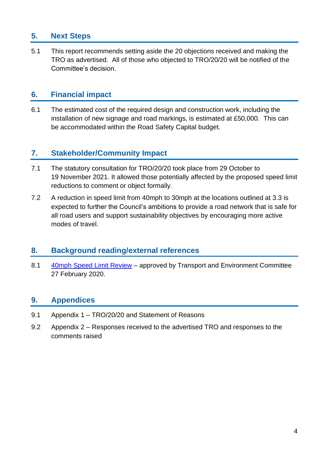## **5. Next Steps**

5.1 This report recommends setting aside the 20 objections received and making the TRO as advertised. All of those who objected to TRO/20/20 will be notified of the Committee's decision.

## **6. Financial impact**

6.1 The estimated cost of the required design and construction work, including the installation of new signage and road markings, is estimated at £50,000. This can be accommodated within the Road Safety Capital budget.

## **7. Stakeholder/Community Impact**

- 7.1 The statutory consultation for TRO/20/20 took place from 29 October to 19 November 2021. It allowed those potentially affected by the proposed speed limit reductions to comment or object formally.
- 7.2 A reduction in speed limit from 40mph to 30mph at the locations outlined at 3.3 is expected to further the Council's ambitions to provide a road network that is safe for all road users and support sustainability objectives by encouraging more active modes of travel.

## **8. Background reading/external references**

8.1 [40mph Speed Limit Review](https://democracy.edinburgh.gov.uk/documents/s14508/Item%207.4%20-%2040mph%20Speed%20Limit%20Review.pdf) – approved by Transport and Environment Committee 27 February 2020.

## **9. Appendices**

- 9.1 Appendix 1 TRO/20/20 and Statement of Reasons
- 9.2 Appendix 2 Responses received to the advertised TRO and responses to the comments raised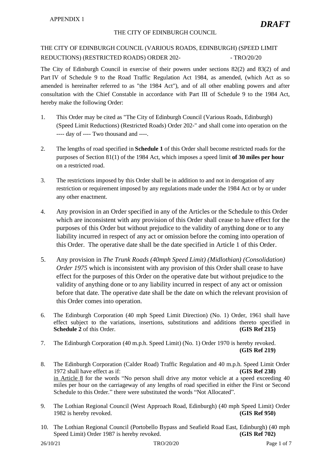#### THE CITY OF EDINBURGH COUNCIL

### THE CITY OF EDINBURGH COUNCIL (VARIOUS ROADS, EDINBURGH) (SPEED LIMIT REDUCTIONS) (RESTRICTED ROADS) ORDER 202-<br>- TRO/20/20

The City of Edinburgh Council in exercise of their powers under sections 82(2) and 83(2) of and Part IV of Schedule 9 to the Road Traffic Regulation Act 1984, as amended, (which Act as so amended is hereinafter referred to as "the 1984 Act"), and of all other enabling powers and after consultation with the Chief Constable in accordance with Part III of Schedule 9 to the 1984 Act, hereby make the following Order:

- 1. This Order may be cited as "The City of Edinburgh Council (Various Roads, Edinburgh) (Speed Limit Reductions) (Restricted Roads) Order 202-" and shall come into operation on the ---- day of ---- Two thousand and ----.
- 2. The lengths of road specified in **Schedule 1** of this Order shall become restricted roads for the purposes of Section 81(1) of the 1984 Act, which imposes a speed limit **of 30 miles per hour** on a restricted road.
- 3. The restrictions imposed by this Order shall be in addition to and not in derogation of any restriction or requirement imposed by any regulations made under the 1984 Act or by or under any other enactment.
- 4. Any provision in an Order specified in any of the Articles or the Schedule to this Order which are inconsistent with any provision of this Order shall cease to have effect for the purposes of this Order but without prejudice to the validity of anything done or to any liability incurred in respect of any act or omission before the coming into operation of this Order. The operative date shall be the date specified in Article 1 of this Order.
- 5. Any provision in *The Trunk Roads (40mph Speed Limit) (Midlothian) (Consolidation) Order 1975* which is inconsistent with any provision of this Order shall cease to have effect for the purposes of this Order on the operative date but without prejudice to the validity of anything done or to any liability incurred in respect of any act or omission before that date. The operative date shall be the date on which the relevant provision of this Order comes into operation.
- 6. The Edinburgh Corporation (40 mph Speed Limit Direction) (No. 1) Order, 1961 shall have effect subject to the variations, insertions, substitutions and additions thereto specified in **Schedule 2** of this Order. **(GIS Ref 215)**
- 7. The Edinburgh Corporation (40 m.p.h. Speed Limit) (No. 1) Order 1970 is hereby revoked. **(GIS Ref 219)**
- 8. The Edinburgh Corporation (Calder Road) Traffic Regulation and 40 m.p.h. Speed Limit Order 1972 shall have effect as if: **(GIS Ref 238)** in Article 8 for the words "No person shall drive any motor vehicle at a speed exceeding 40 miles per hour on the carriageway of any lengths of road specified in either the First or Second Schedule to this Order." there were substituted the words "Not Allocated".
- 9. The Lothian Regional Council (West Approach Road, Edinburgh) (40 mph Speed Limit) Order 1982 is hereby revoked. **(GIS Ref 950)**
- 10. The Lothian Regional Council (Portobello Bypass and Seafield Road East, Edinburgh) (40 mph Speed Limit) Order 1987 is hereby revoked. **(GIS Ref 702)**

*DRAFT*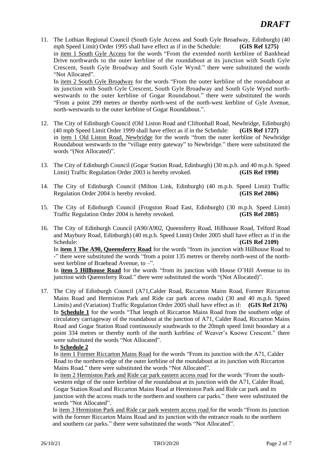11. The Lothian Regional Council (South Gyle Access and South Gyle Broadway, Edinburgh) (40 mph Speed Limit) Order 1995 shall have effect as if in the Schedule: **(GIS Ref 1275)** in item 1 South Gyle Access for the words "From the extended north kerbline of Bankhead Drive northwards to the outer kerbline of the roundabout at its junction with South Gyle Crescent, South Gyle Broadway and South Gyle Wynd." there were substituted the words "Not Allocated". In item 2 South Gyle Broadway for the words "From the outer kerbline of the roundabout at

its junction with South Gyle Crescent, South Gyle Broadway and South Gyle Wynd northwestwards to the outer kerbline of Gogar Roundabout." there were substituted the words "From a point 299 metres or thereby north-west of the north-west kerbline of Gyle Avenue, north-westwards to the outer kerbline of Gogar Roundabout.".

- 12. The City of Edinburgh Council (Old Liston Road and Cliftonhall Road, Newbridge, Edinburgh) (40 mph Speed Limit Order 1999 shall have effect as if in the Schedule: **(GIS Ref 1727)** in item 1 Old Liston Road, Newbridge for the words "from the outer kerbline of Newbridge Roundabout westwards to the "village entry gateway" to Newbridge." there were substituted the words "(Not Allocated)".
- 13. The City of Edinburgh Council (Gogar Station Road, Edinburgh) (30 m.p.h. and 40 m.p.h. Speed Limit) Traffic Regulation Order 2003 is hereby revoked. **(GIS Ref 1998)**
- 14. The City of Edinburgh Council (Milton Link, Edinburgh) (40 m.p.h. Speed Limit) Traffic Regulation Order 2004 is hereby revoked. **(GIS Ref 2086)**
- 15. The City of Edinburgh Council (Frogston Road East, Edinburgh) (30 m.p.h. Speed Limit) Traffic Regulation Order 2004 is hereby revoked. **(GIS Ref 2085)**
- 16. The City of Edinburgh Council (A90/A902, Queensferry Road, Hillhouse Road, Telford Road and Maybury Road, Edinburgh) (40 m.p.h. Speed Limit) Order 2005 shall have effect as if in the Schedule: **(GIS Ref 2109) (GIS Ref 2109)** In **item 1 The A90, Queensferry Road** for the words "from its junction with Hillhouse Road to -" there were substituted the words "from a point 135 metres or thereby north-west of the northwest kerbline of Braehead Avenue, to –". In **item 5 Hillhouse Road** for the words "from its junction with House O'Hill Avenue to its junction with Queensferry Road." there were substituted the words "(Not Allocated)".
- 17. The City of Edinburgh Council (A71,Calder Road, Riccarton Mains Road, Former Riccarton Mains Road and Hermiston Park and Ride car park access roads) (30 and 40 m.p.h. Speed Limits) and (Variation) Traffic Regulation Order 2005 shall have effect as if: **(GIS Ref 2176)** In **Schedule 1** for the words "That length of Riccarton Mains Road from the southern edge of circulatory carriageway of the roundabout at the junction of A71, Calder Road, Riccarton Mains Road and Gogar Station Road continuously southwards to the 20mph speed limit boundary at a point 334 metres or thereby north of the north kerbline of Weaver's Knowe Crescent." there were substituted the words "Not Allocated".

#### In **Schedule 2**

In item 1 Former Riccarton Mains Road for the words "From its junction with the A71, Calder Road to the northern edge of the outer kerbline of the roundabout at its junction with Riccarton Mains Road." there were substituted the words "Not Allocated".

In item 2 Hermiston Park and Ride car park eastern access road for the words "From the southwestern edge of the outer kerbline of the roundabout at its junction with the A71, Calder Road, Gogar Station Road and Riccarton Mains Road at Hermiston Park and Ride car park and its junction with the access roads to the northern and southern car parks." there were substituted the words "Not Allocated".

In item 3 Hermiston Park and Ride car park western access road for the words "From its junction with the former Riccarton Mains Road and its junction with the entrance roads to the northern and southern car parks." there were substituted the words "Not Allocated".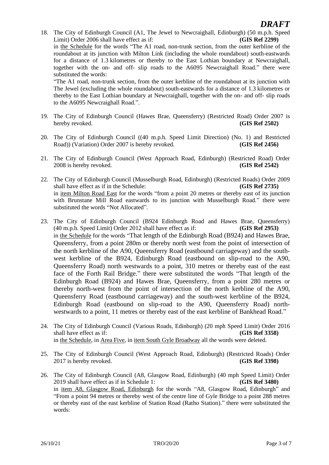18. The City of Edinburgh Council (A1, The Jewel to Newcraighall, Edinburgh) (50 m.p.h. Speed Limit) Order 2006 shall have effect as if: **(GIS Ref 2299)** in the Schedule for the words "The A1 road, non-trunk section, from the outer kerbline of the roundabout at its junction with Milton Link (including the whole roundabout) south-eastwards for a distance of 1.3 kilometres or thereby to the East Lothian boundary at Newcraighall, together with the on- and off- slip roads to the A6095 Newcraighall Road." there were substituted the words: "The A1 road, non-trunk section, from the outer kerbline of the roundabout at its junction with

The Jewel (excluding the whole roundabout) south-eastwards for a distance of 1.3 kilometres or thereby to the East Lothian boundary at Newcraighall, together with the on- and off- slip roads to the A6095 Newcraighall Road.".

- 19. The City of Edinburgh Council (Hawes Brae, Queensferry) (Restricted Road) Order 2007 is hereby revoked. **(GIS Ref 2502)**
- 20. The City of Edinburgh Council ((40 m.p.h. Speed Limit Direction) (No. 1) and Restricted Road)) (Variation) Order 2007 is hereby revoked. **(GIS Ref 2456)**
- 21. The City of Edinburgh Council (West Approach Road, Edinburgh) (Restricted Road) Order 2008 is hereby revoked. **(GIS Ref 2542)**
- 22. The City of Edinburgh Council (Musselburgh Road, Edinburgh) (Restricted Roads) Order 2009 shall have effect as if in the Schedule: **(GIS Ref 2735)** in item Milton Road East for the words "from a point 20 metres or thereby east of its junction with Brunstane Mill Road eastwards to its junction with Musselburgh Road." there were substituted the words "Not Allocated".
- 23. The City of Edinburgh Council (B924 Edinburgh Road and Hawes Brae, Queensferry) (40 m.p.h. Speed Limit) Order 2012 shall have effect as if: **(GIS Ref 2953)** in the Schedule for the words "That length of the Edinburgh Road (B924) and Hawes Brae, Queensferry, from a point 280m or thereby north west from the point of intersection of the north kerbline of the A90, Queensferry Road (eastbound carriageway) and the southwest kerbline of the B924, Edinburgh Road (eastbound on slip-road to the A90, Queensferry Road) north westwards to a point, 310 metres or thereby east of the east face of the Forth Rail Bridge." there were substituted the words "That length of the Edinburgh Road (B924) and Hawes Brae, Queensferry, from a point 280 metres or thereby north-west from the point of intersection of the north kerbline of the A90, Queensferry Road (eastbound carriageway) and the south-west kerbline of the B924, Edinburgh Road (eastbound on slip-road to the A90, Queensferry Road) northwestwards to a point, 11 metres or thereby east of the east kerbline of Bankhead Road."
- 24. The City of Edinburgh Council (Various Roads, Edinburgh) (20 mph Speed Limit) Order 2016 shall have effect as if: **(GIS Ref 3358)** in the Schedule, in Area Five, in item South Gyle Broadway all the words were deleted.
- 25. The City of Edinburgh Council (West Approach Road, Edinburgh) (Restricted Roads) Order 2017 is hereby revoked. **(GIS Ref 3398)**
- 26. The City of Edinburgh Council (A8, Glasgow Road, Edinburgh) (40 mph Speed Limit) Order 2019 shall have effect as if in Schedule 1: **(GIS Ref 3480)** in item A8, Glasgow Road, Edinburgh for the words "A8, Glasgow Road, Edinburgh" and "From a point 94 metres or thereby west of the centre line of Gyle Bridge to a point 288 metres or thereby east of the east kerbline of Station Road (Ratho Station)." there were substituted the words: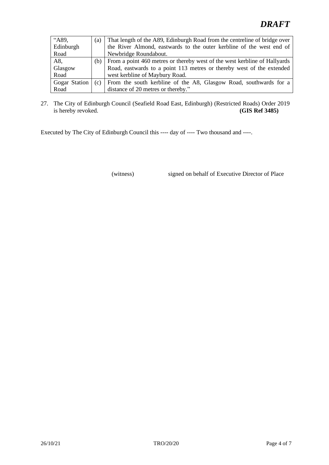## *DRAFT*

| "A89.         | (a) | That length of the A89, Edinburgh Road from the centreline of bridge over |
|---------------|-----|---------------------------------------------------------------------------|
| Edinburgh     |     | the River Almond, eastwards to the outer kerbline of the west end of      |
| Road          |     | Newbridge Roundabout.                                                     |
| A8,           | (b) | From a point 460 metres or thereby west of the west kerbline of Hallyards |
| Glasgow       |     | Road, eastwards to a point 113 metres or thereby west of the extended     |
| Road          |     | west kerbline of Maybury Road.                                            |
| Gogar Station | (c) | From the south kerbline of the A8, Glasgow Road, southwards for a         |
| Road          |     | distance of 20 metres or thereby."                                        |

27. The City of Edinburgh Council (Seafield Road East, Edinburgh) (Restricted Roads) Order 2019 is hereby revoked. **(GIS Ref 3485)**

Executed by The City of Edinburgh Council this ---- day of ---- Two thousand and ----.

(witness) signed on behalf of Executive Director of Place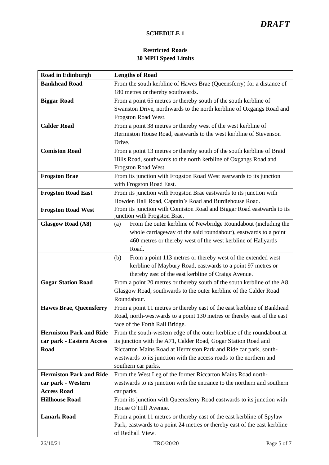#### **SCHEDULE 1**

### **Restricted Roads 30 MPH Speed Limits**

| <b>Road in Edinburgh</b>       | <b>Lengths of Road</b>                                                                                    |  |
|--------------------------------|-----------------------------------------------------------------------------------------------------------|--|
| <b>Bankhead Road</b>           | From the south kerbline of Hawes Brae (Queensferry) for a distance of                                     |  |
|                                | 180 metres or thereby southwards.                                                                         |  |
| <b>Biggar Road</b>             | From a point 65 metres or thereby south of the south kerbline of                                          |  |
|                                | Swanston Drive, northwards to the north kerbline of Oxgangs Road and                                      |  |
|                                | Frogston Road West.                                                                                       |  |
| <b>Calder Road</b>             | From a point 38 metres or thereby west of the west kerbline of                                            |  |
|                                | Hermiston House Road, eastwards to the west kerbline of Stevenson                                         |  |
|                                | Drive.                                                                                                    |  |
| <b>Comiston Road</b>           | From a point 13 metres or thereby south of the south kerbline of Braid                                    |  |
|                                | Hills Road, southwards to the north kerbline of Oxgangs Road and                                          |  |
|                                | Frogston Road West.                                                                                       |  |
| <b>Frogston Brae</b>           | From its junction with Frogston Road West eastwards to its junction                                       |  |
|                                | with Frogston Road East.                                                                                  |  |
| <b>Frogston Road East</b>      | From its junction with Frogston Brae eastwards to its junction with                                       |  |
|                                | Howden Hall Road, Captain's Road and Burdiehouse Road.                                                    |  |
| <b>Frogston Road West</b>      | From its junction with Comiston Road and Biggar Road eastwards to its                                     |  |
|                                | junction with Frogston Brae.                                                                              |  |
| <b>Glasgow Road (A8)</b>       | From the outer kerbline of Newbridge Roundabout (including the<br>(a)                                     |  |
|                                | whole carriageway of the said roundabout), eastwards to a point                                           |  |
|                                | 460 metres or thereby west of the west kerbline of Hallyards                                              |  |
|                                | Road.                                                                                                     |  |
|                                | From a point 113 metres or thereby west of the extended west<br>(b)                                       |  |
|                                | kerbline of Maybury Road, eastwards to a point 97 metres or                                               |  |
|                                | thereby east of the east kerbline of Craigs Avenue.                                                       |  |
| <b>Gogar Station Road</b>      | From a point 20 metres or thereby south of the south kerbline of the A8,                                  |  |
|                                | Glasgow Road, southwards to the outer kerbline of the Calder Road<br>Roundabout.                          |  |
| <b>Hawes Brae, Queensferry</b> |                                                                                                           |  |
|                                | From a point 11 metres or thereby east of the east kerbline of Bankhead                                   |  |
|                                | Road, north-westwards to a point 130 metres or thereby east of the east<br>face of the Forth Rail Bridge. |  |
| <b>Hermiston Park and Ride</b> | From the south-western edge of the outer kerbline of the roundabout at                                    |  |
| car park - Eastern Access      | its junction with the A71, Calder Road, Gogar Station Road and                                            |  |
| Road                           | Riccarton Mains Road at Hermiston Park and Ride car park, south-                                          |  |
|                                | westwards to its junction with the access roads to the northern and                                       |  |
|                                | southern car parks.                                                                                       |  |
| <b>Hermiston Park and Ride</b> | From the West Leg of the former Riccarton Mains Road north-                                               |  |
| car park - Western             | westwards to its junction with the entrance to the northern and southern                                  |  |
| <b>Access Road</b>             | car parks.                                                                                                |  |
| <b>Hillhouse Road</b>          | From its junction with Queensferry Road eastwards to its junction with                                    |  |
|                                | House O'Hill Avenue.                                                                                      |  |
| <b>Lanark Road</b>             | From a point 11 metres or thereby east of the east kerbline of Spylaw                                     |  |
|                                | Park, eastwards to a point 24 metres or thereby east of the east kerbline                                 |  |
|                                | of Redhall View.                                                                                          |  |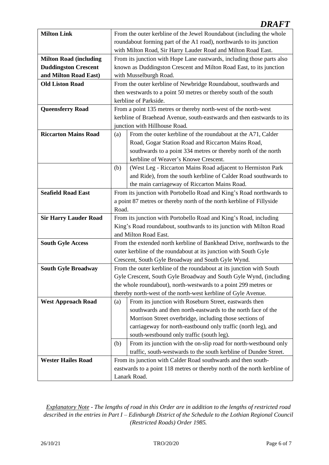## *DRAFT*

| <b>Milton Link</b>            | From the outer kerbline of the Jewel Roundabout (including the whole      |  |  |
|-------------------------------|---------------------------------------------------------------------------|--|--|
|                               | roundabout forming part of the A1 road), northwards to its junction       |  |  |
|                               | with Milton Road, Sir Harry Lauder Road and Milton Road East.             |  |  |
| <b>Milton Road (including</b> | From its junction with Hope Lane eastwards, including those parts also    |  |  |
| <b>Duddingston Crescent</b>   | known as Duddingston Crescent and Milton Road East, to its junction       |  |  |
| and Milton Road East)         | with Musselburgh Road.                                                    |  |  |
| <b>Old Liston Road</b>        | From the outer kerbline of Newbridge Roundabout, southwards and           |  |  |
|                               | then westwards to a point 50 metres or thereby south of the south         |  |  |
|                               | kerbline of Parkside.                                                     |  |  |
| <b>Queensferry Road</b>       | From a point 135 metres or thereby north-west of the north-west           |  |  |
|                               | kerbline of Braehead Avenue, south-eastwards and then eastwards to its    |  |  |
|                               | junction with Hillhouse Road.                                             |  |  |
| <b>Riccarton Mains Road</b>   | From the outer kerbline of the roundabout at the A71, Calder<br>(a)       |  |  |
|                               | Road, Gogar Station Road and Riccarton Mains Road,                        |  |  |
|                               | southwards to a point 334 metres or thereby north of the north            |  |  |
|                               | kerbline of Weaver's Knowe Crescent.                                      |  |  |
|                               | (West Leg - Riccarton Mains Road adjacent to Hermiston Park<br>(b)        |  |  |
|                               | and Ride), from the south kerbline of Calder Road southwards to           |  |  |
|                               | the main carriageway of Riccarton Mains Road.                             |  |  |
| <b>Seafield Road East</b>     | From its junction with Portobello Road and King's Road northwards to      |  |  |
|                               | a point 87 metres or thereby north of the north kerbline of Fillyside     |  |  |
|                               | Road.                                                                     |  |  |
| <b>Sir Harry Lauder Road</b>  | From its junction with Portobello Road and King's Road, including         |  |  |
|                               | King's Road roundabout, southwards to its junction with Milton Road       |  |  |
|                               | and Milton Road East.                                                     |  |  |
| <b>South Gyle Access</b>      | From the extended north kerbline of Bankhead Drive, northwards to the     |  |  |
|                               | outer kerbline of the roundabout at its junction with South Gyle          |  |  |
|                               | Crescent, South Gyle Broadway and South Gyle Wynd.                        |  |  |
| <b>South Gyle Broadway</b>    | From the outer kerbline of the roundabout at its junction with South      |  |  |
|                               | Gyle Crescent, South Gyle Broadway and South Gyle Wynd, (including        |  |  |
|                               | the whole roundabout), north-westwards to a point 299 metres or           |  |  |
|                               | thereby north-west of the north-west kerbline of Gyle Avenue.             |  |  |
| <b>West Approach Road</b>     | From its junction with Roseburn Street, eastwards then<br>(a)             |  |  |
|                               | southwards and then north-eastwards to the north face of the              |  |  |
|                               | Morrison Street overbridge, including those sections of                   |  |  |
|                               | carriageway for north-eastbound only traffic (north leg), and             |  |  |
|                               | south-westbound only traffic (south leg).                                 |  |  |
|                               | From its junction with the on-slip road for north-westbound only<br>(b)   |  |  |
|                               | traffic, south-westwards to the south kerbline of Dundee Street.          |  |  |
| <b>Wester Hailes Road</b>     | From its junction with Calder Road southwards and then south-             |  |  |
|                               | eastwards to a point 118 metres or thereby north of the north kerbline of |  |  |
|                               | Lanark Road.                                                              |  |  |

*Explanatory Note - The lengths of road in this Order are in addition to the lengths of restricted road described in the entries in Part I – Edinburgh District of the Schedule to the Lothian Regional Council (Restricted Roads) Order 1985.*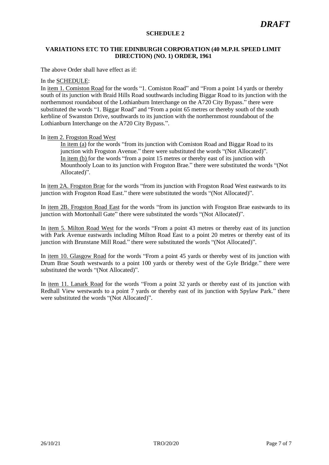#### **SCHEDULE 2**

#### **VARIATIONS ETC TO THE EDINBURGH CORPORATION (40 M.P.H. SPEED LIMIT DIRECTION) (NO. 1) ORDER, 1961**

The above Order shall have effect as if:

#### In the SCHEDULE:

In item 1. Comiston Road for the words "1. Comiston Road" and "From a point 14 yards or thereby south of its junction with Braid Hills Road southwards including Biggar Road to its junction with the northernmost roundabout of the Lothianburn Interchange on the A720 City Bypass." there were substituted the words "1. Biggar Road" and "From a point 65 metres or thereby south of the south kerbline of Swanston Drive, southwards to its junction with the northernmost roundabout of the Lothianburn Interchange on the A720 City Bypass.".

#### In item 2. Frogston Road West

In item (a) for the words "from its junction with Comiston Road and Biggar Road to its junction with Frogston Avenue." there were substituted the words "(Not Allocated)". In item (b) for the words "from a point 15 metres or thereby east of its junction with Mounthooly Loan to its junction with Frogston Brae." there were substituted the words "(Not Allocated)".

In item 2A. Frogston Brae for the words "from its junction with Frogston Road West eastwards to its junction with Frogston Road East." there were substituted the words "(Not Allocated)".

In item 2B. Frogston Road East for the words "from its junction with Frogston Brae eastwards to its junction with Mortonhall Gate" there were substituted the words "(Not Allocated)".

In item 5. Milton Road West for the words "From a point 43 metres or thereby east of its junction with Park Avenue eastwards including Milton Road East to a point 20 metres or thereby east of its junction with Brunstane Mill Road." there were substituted the words "(Not Allocated)".

In item 10. Glasgow Road for the words "From a point 45 yards or thereby west of its junction with Drum Brae South westwards to a point 100 yards or thereby west of the Gyle Bridge." there were substituted the words "(Not Allocated)".

In item 11. Lanark Road for the words "From a point 32 yards or thereby east of its junction with Redhall View westwards to a point 7 yards or thereby east of its junction with Spylaw Park." there were substituted the words "(Not Allocated)".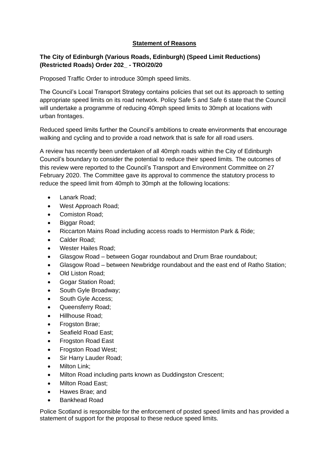#### **Statement of Reasons**

#### **The City of Edinburgh (Various Roads, Edinburgh) (Speed Limit Reductions) (Restricted Roads) Order 202\_ - TRO/20/20**

Proposed Traffic Order to introduce 30mph speed limits.

The Council's Local Transport Strategy contains policies that set out its approach to setting appropriate speed limits on its road network. Policy Safe 5 and Safe 6 state that the Council will undertake a programme of reducing 40mph speed limits to 30mph at locations with urban frontages.

Reduced speed limits further the Council's ambitions to create environments that encourage walking and cycling and to provide a road network that is safe for all road users.

A review has recently been undertaken of all 40mph roads within the City of Edinburgh Council's boundary to consider the potential to reduce their speed limits. The outcomes of this review were reported to the Council's Transport and Environment Committee on 27 February 2020. The Committee gave its approval to commence the statutory process to reduce the speed limit from 40mph to 30mph at the following locations:

- Lanark Road;
- West Approach Road:
- Comiston Road;
- Biggar Road;
- Riccarton Mains Road including access roads to Hermiston Park & Ride;
- Calder Road;
- Wester Hailes Road;
- Glasgow Road between Gogar roundabout and Drum Brae roundabout;
- Glasgow Road between Newbridge roundabout and the east end of Ratho Station;
- Old Liston Road;
- Gogar Station Road;
- South Gyle Broadway;
- South Gyle Access;
- Queensferry Road;
- Hillhouse Road;
- Frogston Brae;
- Seafield Road East;
- Frogston Road East
- Frogston Road West;
- Sir Harry Lauder Road;
- Milton Link;
- Milton Road including parts known as Duddingston Crescent;
- Milton Road East;
- Hawes Brae; and
- Bankhead Road

Police Scotland is responsible for the enforcement of posted speed limits and has provided a statement of support for the proposal to these reduce speed limits.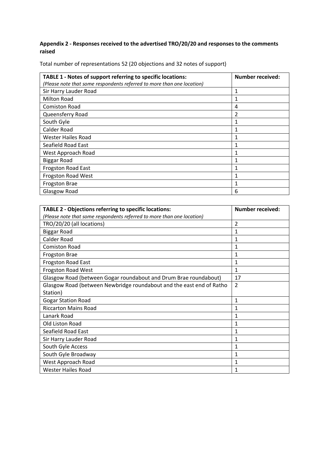#### **Appendix 2 - Responses received to the advertised TRO/20/20 and responses to the comments raised**

Total number of representations 52 (20 objections and 32 notes of support)

| TABLE 1 - Notes of support referring to specific locations:            | <b>Number received:</b> |
|------------------------------------------------------------------------|-------------------------|
| (Please note that some respondents referred to more than one location) |                         |
| Sir Harry Lauder Road                                                  |                         |
| <b>Milton Road</b>                                                     |                         |
| <b>Comiston Road</b>                                                   | 4                       |
| Queensferry Road                                                       | 2                       |
| South Gyle                                                             |                         |
| Calder Road                                                            |                         |
| Wester Hailes Road                                                     |                         |
| Seafield Road East                                                     |                         |
| West Approach Road                                                     |                         |
| <b>Biggar Road</b>                                                     |                         |
| <b>Frogston Road East</b>                                              |                         |
| Frogston Road West                                                     |                         |
| Frogston Brae                                                          |                         |
| Glasgow Road                                                           | 6                       |

| <b>TABLE 2 - Objections referring to specific locations:</b>           | <b>Number received:</b> |
|------------------------------------------------------------------------|-------------------------|
| (Please note that some respondents referred to more than one location) |                         |
| TRO/20/20 (all locations)                                              | $\overline{2}$          |
| <b>Biggar Road</b>                                                     | 1                       |
| <b>Calder Road</b>                                                     | 1                       |
| <b>Comiston Road</b>                                                   | 1                       |
| <b>Frogston Brae</b>                                                   | 1                       |
| Frogston Road East                                                     | 1                       |
| <b>Frogston Road West</b>                                              | 1                       |
| Glasgow Road (between Gogar roundabout and Drum Brae roundabout)       | 17                      |
| Glasgow Road (between Newbridge roundabout and the east end of Ratho   | $\overline{2}$          |
| Station)                                                               |                         |
| <b>Gogar Station Road</b>                                              | 1                       |
| <b>Riccarton Mains Road</b>                                            | 1                       |
| Lanark Road                                                            | 1                       |
| Old Liston Road                                                        | 1                       |
| Seafield Road East                                                     | 1                       |
| Sir Harry Lauder Road                                                  | 1                       |
| South Gyle Access                                                      | 1                       |
| South Gyle Broadway                                                    | 1                       |
| West Approach Road                                                     | 1                       |
| <b>Wester Hailes Road</b>                                              | 1                       |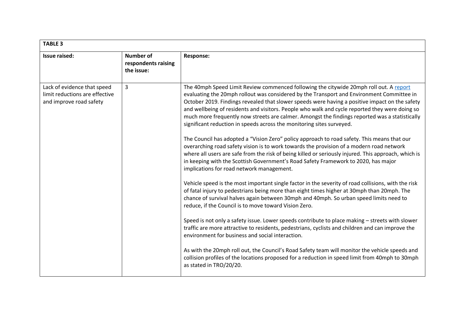| <b>TABLE 3</b>                                                                           |                                                       |                                                                                                                                                                                                                                                                                                                                                                                                                                                                                                                                                                    |
|------------------------------------------------------------------------------------------|-------------------------------------------------------|--------------------------------------------------------------------------------------------------------------------------------------------------------------------------------------------------------------------------------------------------------------------------------------------------------------------------------------------------------------------------------------------------------------------------------------------------------------------------------------------------------------------------------------------------------------------|
| Issue raised:                                                                            | <b>Number of</b><br>respondents raising<br>the issue: | Response:                                                                                                                                                                                                                                                                                                                                                                                                                                                                                                                                                          |
| Lack of evidence that speed<br>limit reductions are effective<br>and improve road safety | $\mathbf{3}$                                          | The 40mph Speed Limit Review commenced following the citywide 20mph roll out. A report<br>evaluating the 20mph rollout was considered by the Transport and Environment Committee in<br>October 2019. Findings revealed that slower speeds were having a positive impact on the safety<br>and wellbeing of residents and visitors. People who walk and cycle reported they were doing so<br>much more frequently now streets are calmer. Amongst the findings reported was a statistically<br>significant reduction in speeds across the monitoring sites surveyed. |
|                                                                                          |                                                       | The Council has adopted a "Vision Zero" policy approach to road safety. This means that our<br>overarching road safety vision is to work towards the provision of a modern road network<br>where all users are safe from the risk of being killed or seriously injured. This approach, which is<br>in keeping with the Scottish Government's Road Safety Framework to 2020, has major<br>implications for road network management.                                                                                                                                 |
|                                                                                          |                                                       | Vehicle speed is the most important single factor in the severity of road collisions, with the risk<br>of fatal injury to pedestrians being more than eight times higher at 30mph than 20mph. The<br>chance of survival halves again between 30mph and 40mph. So urban speed limits need to<br>reduce, if the Council is to move toward Vision Zero.                                                                                                                                                                                                               |
|                                                                                          |                                                       | Speed is not only a safety issue. Lower speeds contribute to place making - streets with slower<br>traffic are more attractive to residents, pedestrians, cyclists and children and can improve the<br>environment for business and social interaction.                                                                                                                                                                                                                                                                                                            |
|                                                                                          |                                                       | As with the 20mph roll out, the Council's Road Safety team will monitor the vehicle speeds and<br>collision profiles of the locations proposed for a reduction in speed limit from 40mph to 30mph<br>as stated in TRO/20/20.                                                                                                                                                                                                                                                                                                                                       |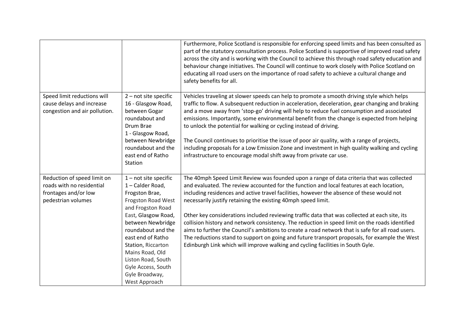|                                                                                                        |                                                                                                                                                                                                                                                                                                                         | Furthermore, Police Scotland is responsible for enforcing speed limits and has been consulted as<br>part of the statutory consultation process. Police Scotland is supportive of improved road safety<br>across the city and is working with the Council to achieve this through road safety education and<br>behaviour change initiatives. The Council will continue to work closely with Police Scotland on<br>educating all road users on the importance of road safety to achieve a cultural change and<br>safety benefits for all.                                                                                                                                                                                                                                                                                                           |
|--------------------------------------------------------------------------------------------------------|-------------------------------------------------------------------------------------------------------------------------------------------------------------------------------------------------------------------------------------------------------------------------------------------------------------------------|---------------------------------------------------------------------------------------------------------------------------------------------------------------------------------------------------------------------------------------------------------------------------------------------------------------------------------------------------------------------------------------------------------------------------------------------------------------------------------------------------------------------------------------------------------------------------------------------------------------------------------------------------------------------------------------------------------------------------------------------------------------------------------------------------------------------------------------------------|
| Speed limit reductions will<br>cause delays and increase<br>congestion and air pollution.              | 2 - not site specific<br>16 - Glasgow Road,<br>between Gogar<br>roundabout and<br>Drum Brae<br>1 - Glasgow Road,<br>between Newbridge<br>roundabout and the<br>east end of Ratho<br>Station                                                                                                                             | Vehicles traveling at slower speeds can help to promote a smooth driving style which helps<br>traffic to flow. A subsequent reduction in acceleration, deceleration, gear changing and braking<br>and a move away from 'stop-go' driving will help to reduce fuel consumption and associated<br>emissions. Importantly, some environmental benefit from the change is expected from helping<br>to unlock the potential for walking or cycling instead of driving.<br>The Council continues to prioritise the issue of poor air quality, with a range of projects,<br>including proposals for a Low Emission Zone and investment in high quality walking and cycling<br>infrastructure to encourage modal shift away from private car use.                                                                                                         |
| Reduction of speed limit on<br>roads with no residential<br>frontages and/or low<br>pedestrian volumes | $1$ – not site specific<br>1 - Calder Road,<br>Frogston Brae,<br>Frogston Road West<br>and Frogston Road<br>East, Glasgow Road,<br>between Newbridge<br>roundabout and the<br>east end of Ratho<br>Station, Riccarton<br>Mains Road, Old<br>Liston Road, South<br>Gyle Access, South<br>Gyle Broadway,<br>West Approach | The 40mph Speed Limit Review was founded upon a range of data criteria that was collected<br>and evaluated. The review accounted for the function and local features at each location,<br>including residences and active travel facilities, however the absence of these would not<br>necessarily justify retaining the existing 40mph speed limit.<br>Other key considerations included reviewing traffic data that was collected at each site, its<br>collision history and network consistency. The reduction in speed limit on the roads identified<br>aims to further the Council's ambitions to create a road network that is safe for all road users.<br>The reductions stand to support on going and future transport proposals, for example the West<br>Edinburgh Link which will improve walking and cycling facilities in South Gyle. |